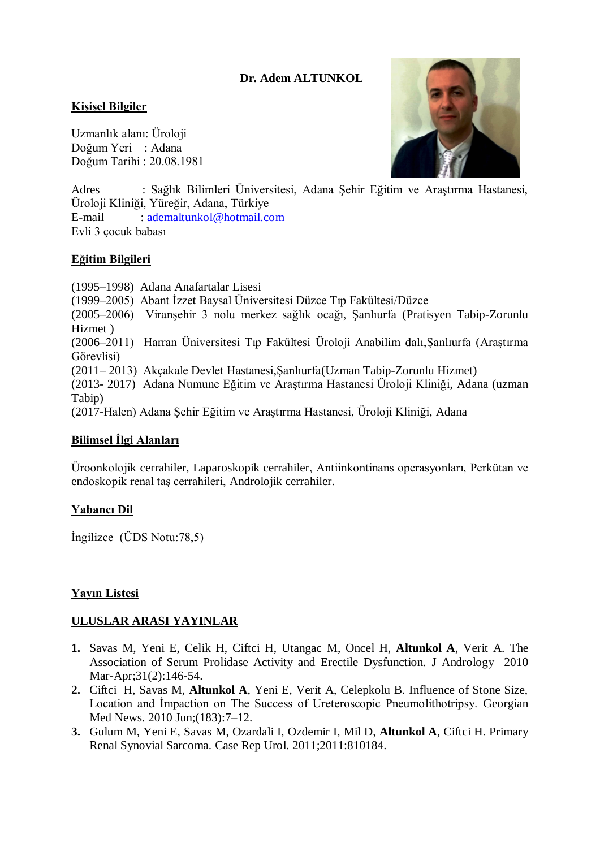## **Dr. Adem ALTUNKOL**

### **Kişisel Bilgiler**

Doğum Tarihi : 20.08.1981 Doğum Yeri : Adana Uzmanlık alanı: Üroloji



Adres : Sağlık Bilimleri Üniversitesi, Adana Şehir Eğitim ve Araştırma Hastanesi, Üroloji Kliniği, Yüreğir, Adana, Türkiye E-mail : [ademaltunkol@hotmail.com](mailto:ademaltunkol@hotmail.com) Evli 3 çocuk babası

#### **Eğitim Bilgileri**

(1995–1998) Adana Anafartalar Lisesi (1999–2005) Abant İzzet Baysal Üniversitesi Düzce Tıp Fakültesi/Düzce (2005–2006) Viranşehir 3 nolu merkez sağlık ocağı, Şanlıurfa (Pratisyen Tabip-Zorunlu Hizmet ) (2006–2011) Harran Üniversitesi Tıp Fakültesi Üroloji Anabilim dalı,Şanlıurfa (Araştırma Görevlisi) (2011– 2013) Akçakale Devlet Hastanesi,Şanlıurfa(Uzman Tabip-Zorunlu Hizmet) (2013- 2017) Adana Numune Eğitim ve Araştırma Hastanesi Üroloji Kliniği, Adana (uzman Tabip) (2017-Halen) Adana Şehir Eğitim ve Araştırma Hastanesi, Üroloji Kliniği, Adana

#### **Bilimsel İlgi Alanları**

Üroonkolojik cerrahiler, Laparoskopik cerrahiler, Antiinkontinans operasyonları, Perkütan ve endoskopik renal taş cerrahileri, Androlojik cerrahiler.

#### **Yabancı Dil**

İngilizce (ÜDS Notu:78,5)

#### **Yayın Listesi**

#### **ULUSLAR ARASI YAYINLAR**

- **1.** [Savas M, Yeni E, Celik H,](http://www.ncbi.nlm.nih.gov/sites/entrez?Db=pubmed&Cmd=Search&Term=) [Ciftci H, Utangac M, Oncel H,](http://www.ncbi.nlm.nih.gov/sites/entrez?Db=pubmed&Cmd=Search&Term=) **[Altunkol A](http://www.ncbi.nlm.nih.gov/sites/entrez?Db=pubmed&Cmd=Search&Term=)**, [Verit A.](http://www.ncbi.nlm.nih.gov/sites/entrez?Db=pubmed&Cmd=Search&Term=) The Association of Serum Prolidase Activity and Erectile Dysfunction. J Andrology 2010 Mar-Apr;31(2):146-54.
- **2.** Ciftci H, Savas M, **Altunkol A**, Yeni E, Verit A, Celepkolu B. Influence of Stone Size, Location and İmpaction on The Success of Ureteroscopic Pneumolithotripsy. Georgian Med News. 2010 Jun;(183):7–12.
- **3.** Gulum M, Yeni E, Savas M, Ozardali I, Ozdemir I, Mil D, **Altunkol A**, Ciftci H. Primary Renal Synovial Sarcoma. Case Rep Urol. 2011;2011:810184.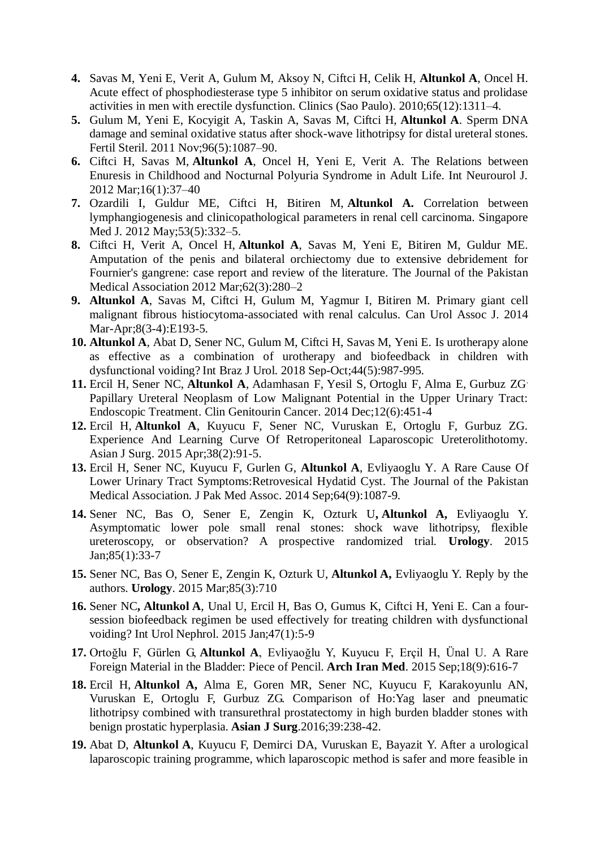- **4.** Savas M, Yeni E, Verit A, Gulum M, Aksoy N, Ciftci H, Celik H, **Altunkol A**, Oncel H. Acute effect of phosphodiesterase type 5 inhibitor on serum oxidative status and prolidase activities in men with erectile dysfunction. Clinics (Sao Paulo). 2010;65(12):1311–4.
- **5.** Gulum M, Yeni E, Kocyigit A, Taskin A, Savas M, Ciftci H, **Altunkol A**. Sperm DNA damage and seminal oxidative status after shock-wave lithotripsy for distal ureteral stones. Fertil Steril. 2011 Nov;96(5):1087–90.
- **6.** Ciftci H, Savas M, **Altunkol A**, Oncel H, Yeni E, Verit A. The Relations between Enuresis in Childhood and Nocturnal Polyuria Syndrome in Adult Life. Int Neurourol J. 2012 Mar;16(1):37–40
- **7.** Ozardili I, Guldur ME, Ciftci H, Bitiren M, **Altunkol A.** Correlation between lymphangiogenesis and clinicopathological parameters in renal cell carcinoma. Singapore Med J. 2012 May;53(5):332–5.
- **8.** Ciftci H, Verit A, Oncel H, **Altunkol A**, Savas M, Yeni E, Bitiren M, Guldur ME. Amputation of the penis and bilateral orchiectomy due to extensive debridement for Fournier's gangrene: case report and review of the literature. The Journal of the Pakistan Medical Association 2012 Mar;62(3):280–2
- **9. Altunkol A**, Savas M, Ciftci H, Gulum M, Yagmur I, Bitiren M. Primary giant cell malignant fibrous histiocytoma-associated with renal calculus. Can Urol Assoc J. 2014 Mar-Apr;8(3-4):E193-5.
- **10. Altunkol A**, Abat D, Sener NC, Gulum M, Ciftci H, Savas M, Yeni E. Is urotherapy alone as effective as a combination of urotherapy and biofeedback in children with dysfunctional voiding? Int Braz J Urol. 2018 Sep-Oct;44(5):987-995.
- **11.** [Ercil H,](http://www.ncbi.nlm.nih.gov/pubmed?term=Ercil%20H%5BAuthor%5D&cauthor=true&cauthor_uid=24985722) [Sener NC,](http://www.ncbi.nlm.nih.gov/pubmed?term=Sener%20NC%5BAuthor%5D&cauthor=true&cauthor_uid=24985722) **[Altunkol A](http://www.ncbi.nlm.nih.gov/pubmed?term=Altunkol%20A%5BAuthor%5D&cauthor=true&cauthor_uid=24985722)**, [Adamhasan F,](http://www.ncbi.nlm.nih.gov/pubmed?term=Adamhasan%20F%5BAuthor%5D&cauthor=true&cauthor_uid=24985722) [Yesil S,](http://www.ncbi.nlm.nih.gov/pubmed?term=Yesil%20S%5BAuthor%5D&cauthor=true&cauthor_uid=24985722) [Ortoglu F,](http://www.ncbi.nlm.nih.gov/pubmed?term=Ortoglu%20F%5BAuthor%5D&cauthor=true&cauthor_uid=24985722) [Alma E,](http://www.ncbi.nlm.nih.gov/pubmed?term=Alma%20E%5BAuthor%5D&cauthor=true&cauthor_uid=24985722) [Gurbuz ZG](http://www.ncbi.nlm.nih.gov/pubmed?term=Gurbuz%20ZG%5BAuthor%5D&cauthor=true&cauthor_uid=24985722). Papillary Ureteral Neoplasm of Low Malignant Potential in the Upper Urinary Tract: Endoscopic Treatment. Clin Genitourin Cancer. 2014 Dec;12(6):451-4
- **12.** [Ercil H,](http://www.ncbi.nlm.nih.gov/pubmed?term=Ercil%20H%5BAuthor%5D&cauthor=true&cauthor_uid=24985722) **[Altunkol A](http://www.ncbi.nlm.nih.gov/pubmed?term=Altunkol%20A%5BAuthor%5D&cauthor=true&cauthor_uid=24985722)**, Kuyucu F, Sener NC, Vuruskan E, Ortoglu F, Gurbuz ZG. Experience And Learning Curve Of Retroperitoneal Laparoscopic Ureterolithotomy. Asian J Surg. 2015 Apr;38(2):91-5.
- **13.** Ercil H, Sener NC, Kuyucu F, Gurlen G, **Altunkol A**, Evliyaoglu Y. A Rare Cause Of Lower Urinary Tract Symptoms:Retrovesical Hydatid Cyst. The Journal of the Pakistan Medical Association. J Pak Med Assoc. 2014 Sep;64(9):1087-9.
- **14.** Sener NC, Bas O, Sener E, Zengin K, Ozturk U**, Altunkol A,** Evliyaoglu Y. Asymptomatic lower pole small renal stones: shock wave lithotripsy, flexible ureteroscopy, or observation? A prospective randomized trial. **Urology**. 2015 Jan;85(1):33-7
- **15.** Sener NC, Bas O, Sener E, Zengin K, Ozturk U, **Altunkol A,** Evliyaoglu Y. Reply by the authors. **Urology**. 2015 Mar;85(3):710
- **16.** Sener NC**, Altunkol A**, Unal U, Ercil H, Bas O, Gumus K, Ciftci H, Yeni E. Can a foursession biofeedback regimen be used effectively for treating children with dysfunctional voiding? Int Urol Nephrol. 2015 Jan;47(1):5-9
- **17.** Ortoğlu F, Gürlen G, **Altunkol A**, Evliyaoğlu Y, Kuyucu F, Erçil H, Ünal U. A Rare Foreign Material in the Bladder: Piece of Pencil. **Arch Iran Med**. 2015 Sep;18(9):616-7
- **18.** Ercil H, **Altunkol A,** Alma E, Goren MR, Sener NC, Kuyucu F, Karakoyunlu AN, Vuruskan E, Ortoglu F, Gurbuz ZG. Comparison of Ho:Yag laser and pneumatic lithotripsy combined with transurethral prostatectomy in high burden bladder stones with benign prostatic hyperplasia. **Asian J Surg**.2016;39:238-42.
- **19.** Abat D, **Altunkol A**, Kuyucu F, Demirci DA, Vuruskan E, Bayazit Y. After a urological laparoscopic training programme, which laparoscopic method is safer and more feasible in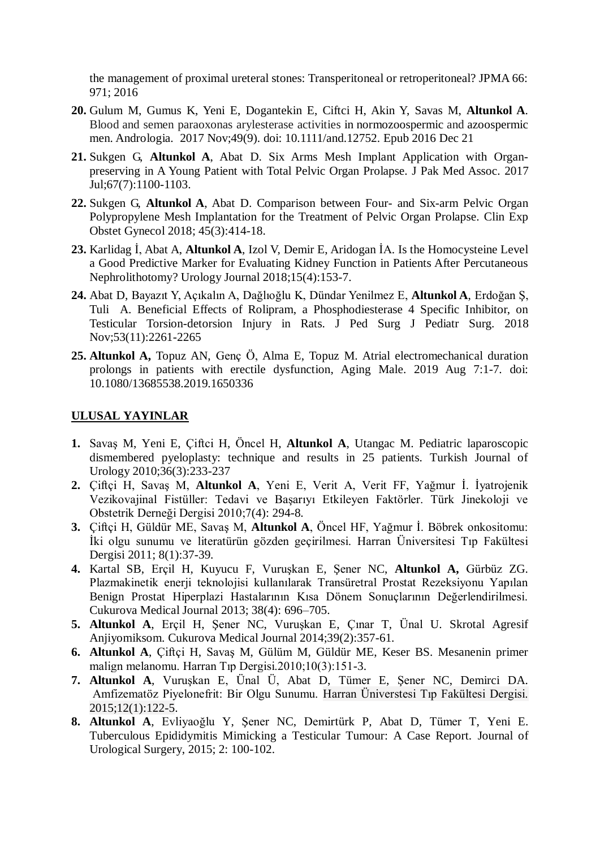the management of proximal ureteral stones: Transperitoneal or retroperitoneal? JPMA 66: 971; 2016

- **20.** Gulum M, Gumus K, Yeni E, Dogantekin E, Ciftci H, Akin Y, Savas M, **Altunkol A**. Blood and semen paraoxonas arylesterase activities in normozoospermic and azoospermic men. Andrologia. 2017 Nov;49(9). doi: 10.1111/and.12752. Epub 2016 Dec 21
- **21.** Sukgen G, **Altunkol A**, Abat D. Six Arms Mesh Implant Application with Organpreserving in A Young Patient with Total Pelvic Organ Prolapse. J Pak Med Assoc. 2017 Jul;67(7):1100-1103.
- **22.** Sukgen G, **Altunkol A**, Abat D. Comparison between Four- and Six-arm Pelvic Organ Polypropylene Mesh Implantation for the Treatment of Pelvic Organ Prolapse. Clin Exp Obstet Gynecol 2018; 45(3):414-18.
- **23.** Karlidag İ, Abat A, **Altunkol A**, Izol V, Demir E, Aridogan İA. Is the Homocysteine Level a Good Predictive Marker for Evaluating Kidney Function in Patients After Percutaneous Nephrolithotomy? Urology Journal 2018;15(4):153-7.
- **24.** Abat D, Bayazıt Y, Açıkalın A, Dağlıoğlu K, Dündar Yenilmez E, **Altunkol A**, Erdoğan Ş, Tuli A. Beneficial Effects of Rolipram, a Phosphodiesterase 4 Specific Inhibitor, on Testicular Torsion-detorsion Injury in Rats. J Ped Surg J Pediatr Surg. 2018 Nov;53(11):2261-2265
- **25. Altunkol A,** Topuz AN, Genç Ö, Alma E, Topuz M. Atrial electromechanical duration prolongs in patients with erectile dysfunction, Aging Male. 2019 Aug 7:1-7. doi: 10.1080/13685538.2019.1650336

#### **ULUSAL YAYINLAR**

- **1.** Savaş M, Yeni E, Çiftci H, Öncel H, **Altunkol A**, Utangac M. Pediatric laparoscopic dismembered pyeloplasty: technique and results in 25 patients. Turkish Journal of Urology 2010;36(3):233-237
- **2.** Çiftçi H, Savaş M, **Altunkol A**, Yeni E, Verit A, Verit FF, Yağmur İ. İyatrojenik Vezikovajinal Fistüller: Tedavi ve Başarıyı Etkileyen Faktörler. Türk Jinekoloji ve Obstetrik Derneği Dergisi 2010;7(4): 294-8.
- **3.** Çiftçi H, Güldür ME, Savaş M, **Altunkol A**, Öncel HF, Yağmur İ. Böbrek onkositomu: İki olgu sunumu ve literatürün gözden geçirilmesi. Harran Üniversitesi Tıp Fakültesi Dergisi 2011; 8(1):37-39.
- **4.** Kartal SB, Erçil H, Kuyucu F, Vuruşkan E, Şener NC, **Altunkol A,** Gürbüz ZG. Plazmakinetik enerji teknolojisi kullanılarak Transüretral Prostat Rezeksiyonu Yapılan Benign Prostat Hiperplazi Hastalarının Kısa Dönem Sonuçlarının Değerlendirilmesi. Cukurova Medical Journal 2013; 38(4): 696–705.
- **5. Altunkol A**, Erçil H, Şener NC, Vuruşkan E, Çınar T, Ünal U. Skrotal Agresif Anjiyomiksom. Cukurova Medical Journal 2014;39(2):357-61.
- **6. Altunkol A**, Çiftçi H, Savaş M, Gülüm M, Güldür ME, Keser BS. Mesanenin primer malign melanomu. Harran Tıp Dergisi.2010;10(3):151-3.
- **7. Altunkol A**, Vuruşkan E, Ünal Ü, Abat D, Tümer E, Şener NC, Demirci DA. Amfizematöz Piyelonefrit: Bir Olgu Sunumu. Harran Üniverstesi Tıp Fakültesi Dergisi. 2015;12(1):122-5.
- **8. Altunkol A**, Evliyaoğlu Y, Şener NC, Demirtürk P, Abat D, Tümer T, Yeni E. Tuberculous Epididymitis Mimicking a Testicular Tumour: A Case Report. Journal of Urological Surgery, 2015; 2: 100-102.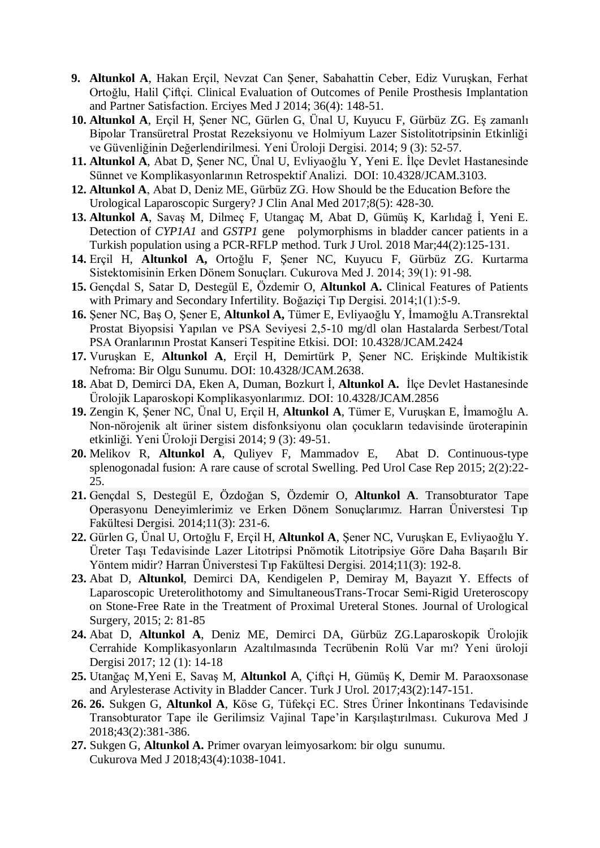- **9. Altunkol A**, Hakan Erçil, Nevzat Can Şener, Sabahattin Ceber, Ediz Vuruşkan, Ferhat Ortoğlu, Halil Çiftçi. [Clinical Evaluation of Outcomes of Penile Prosthesis Implantation](http://www.erciyesmedj.com/jvi.aspx?un=EMJ-32559)  [and Partner Satisfaction.](http://www.erciyesmedj.com/jvi.aspx?un=EMJ-32559) Erciyes Med J 2014; 36(4): 148-51.
- **10. Altunkol A**, Erçil H, Şener NC, Gürlen G, Ünal U, Kuyucu F, Gürbüz ZG. Eş zamanlı Bipolar Transüretral Prostat Rezeksiyonu ve Holmiyum Lazer Sistolitotripsinin Etkinliği ve Güvenliğinin Değerlendirilmesi. Yeni Üroloji Dergisi. 2014; 9 (3): 52-57.
- **11. Altunkol A**, Abat D, Şener NC, Ünal U, Evliyaoğlu Y, Yeni E. İlçe Devlet Hastanesinde Sünnet ve Komplikasyonlarının Retrospektif Analizi. DOI: 10.4328/JCAM.3103.
- **12. Altunkol A**, Abat D, Deniz ME, Gürbüz ZG. How Should be the Education Before the Urological Laparoscopic Surgery? J Clin Anal Med 2017;8(5): 428-30.
- **13. [Altunkol](javascript:sa() A**, Savaş M, Dilmeç F, Utangaç M, Abat D, Gümüş K, Karlıdağ İ, Yeni E. Detection of *CYP1A1* and *GSTP1* gene polymorphisms in bladder cancer patients in a Turkish population using a PCR-RFLP method. Turk J Urol. 2018 Mar;44(2):125-131.
- **14.** Erçil H, **Altunkol A,** Ortoğlu F, Şener NC, Kuyucu F, Gürbüz ZG. Kurtarma Sistektomisinin Erken Dönem Sonuçları. Cukurova Med J. 2014; 39(1): 91-98.
- **15.** Gençdal S, Satar D, Destegül E, Özdemir O, **Altunkol A.** Clinical Features of Patients with Primary and Secondary Infertility. Boğaziçi Tıp Dergisi. 2014;1(1):5-9.
- **16.** Şener NC, Baş O, Şener E, **Altunkol A,** Tümer E, Evliyaoğlu Y, İmamoğlu A.Transrektal Prostat Biyopsisi Yapılan ve PSA Seviyesi 2,5-10 mg/dl olan Hastalarda Serbest/Total PSA Oranlarının Prostat Kanseri Tespitine Etkisi. DOI: 10.4328/JCAM.2424
- **17.** Vuruşkan E, **Altunkol A**, Erçil H, Demirtürk P, Şener NC. Erişkinde Multikistik Nefroma: Bir Olgu Sunumu. DOI: 10.4328/JCAM.2638.
- **18.** Abat D, Demirci DA, Eken A, Duman, Bozkurt İ, **Altunkol A.** İlçe Devlet Hastanesinde Ürolojik Laparoskopi Komplikasyonlarımız. DOI: 10.4328/JCAM.2856
- **19.** Zengin K, Şener NC, Ünal U, Erçil H, **Altunkol A**, Tümer E, Vuruşkan E, İmamoğlu A. Non-nörojenik alt üriner sistem disfonksiyonu olan çocukların tedavisinde üroterapinin etkinliği. Yeni Üroloji Dergisi 2014; 9 (3): 49-51.
- **20.** Melikov R, **Altunkol A**, Quliyev F, Mammadov E, Abat D. Continuous-type splenogonadal fusion: A rare cause of scrotal Swelling. Ped Urol Case Rep 2015; 2(2):22- 25.
- **21.** Gençdal S, Destegül E, Özdoğan S, Özdemir O, **Altunkol A**. Transobturator Tape Operasyonu Deneyimlerimiz ve Erken Dönem Sonuçlarımız. Harran Üniverstesi Tıp Fakültesi Dergisi. 2014;11(3): 231-6.
- **22.** Gürlen G, Ünal U, Ortoğlu F, Erçil H, **Altunkol A**, Şener NC, Vuruşkan E, Evliyaoğlu Y. Üreter Taşı Tedavisinde Lazer Litotripsi Pnömotik Litotripsiye Göre Daha Başarılı Bir Yöntem midir? Harran Üniverstesi Tıp Fakültesi Dergisi. 2014;11(3): 192-8.
- **23.** Abat D, **Altunkol**, Demirci DA, Kendigelen P, Demiray M, Bayazıt Y. Effects of Laparoscopic Ureterolithotomy and SimultaneousTrans-Trocar Semi-Rigid Ureteroscopy on Stone-Free Rate in the Treatment of Proximal Ureteral Stones. Journal of Urological Surgery, 2015; 2: 81-85
- **24.** Abat D, **Altunkol A**, Deniz ME, Demirci DA, Gürbüz ZG.Laparoskopik Ürolojik Cerrahide Komplikasyonların Azaltılmasında Tecrübenin Rolü Var mı? Yeni üroloji Dergisi 2017; 12 (1): 14-18
- **25.** [Utanğ](javascript:sa()aç M,Yeni E, Savaş M, **[Altunkol](javascript:sa()** A, [Çiftçi](javascript:sa() H, [Gümüş](javascript:sa() K, Demir M. Paraoxsonase and Arylesterase Activity in Bladder Cancer. Turk J Urol. 2017;43(2):147-151.
- **26. 26.** [Sukgen](http://dergipark.gov.tr/search?q=G%C3%B6kmen+Sukgen§ion=author) G, **Altunkol A**, Köse G, Tüfekçi EC. Stres Üriner İnkontinans Tedavisinde Transobturator Tape ile Gerilimsiz Vajinal Tape'in Karşılaştırılması. Cukurova Med J 2018;43(2):381-386.
- **27.** [Sukgen](http://dergipark.gov.tr/search?q=G%C3%B6kmen+Sukgen§ion=author) G, **Altunkol A.** Primer ovaryan leimyosarkom: bir olgu sunumu. Cukurova Med J 2018;43(4):1038-1041.